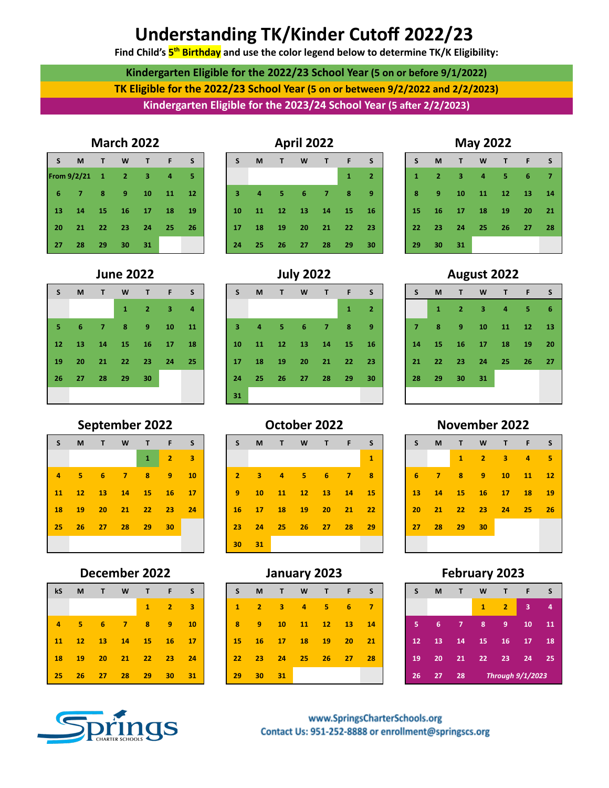# **Understanding TK/Kinder Cutoff 2022/23**

**Find Child's 5 th Birthday and use the color legend below to determine TK/K Eligibility:**

**Kindergarten Eligible for the 2022/23 School Year (5 on or before 9/1/2022) TK Eligible for the 2022/23 School Year (5 on or between 9/2/2022 and 2/2/2023) Kindergarten Eligible for the 2023/24 School Year (5 after 2/2/2023)** 

|  | <b>March 2022</b> |  |
|--|-------------------|--|
|  |                   |  |

|    | IVI.            | ш         | w               |    |    | э  |
|----|-----------------|-----------|-----------------|----|----|----|
|    | From $9/2/21$ 1 |           | $\overline{2}$  | з  | 4  | 5  |
| 6  | 7               | 8         | $\overline{9}$  | 10 | 11 | 12 |
| 13 | 14              | <b>15</b> | 16 <sup>1</sup> | 17 | 18 | 19 |
| 20 | 21              | 22        | 23              | 24 | 25 | 26 |
| 27 | 28              | 29        | 30              | 31 |    |    |

| S  | M  | $\blacksquare$ | <b>W</b> | T              | F  | S  |
|----|----|----------------|----------|----------------|----|----|
|    |    |                | 1        | $\overline{2}$ | з  | 4  |
| 5  | 6  | 7              | 8        | 9 <sup>1</sup> | 10 | 11 |
| 12 | 13 |                | 14 15 16 |                | 17 | 18 |
| 19 | 20 | $21 -$         | 22 23    |                | 24 | 25 |
| 26 | 27 | 28             | 29       | 30             |    |    |
|    |    |                |          |                |    |    |

## **September 2022 October 2022 November 2022**

| S  | M              | $\mathbf{T}$ | <b>W</b>    | $\mathbf \Phi$ | F              | <b>S</b> |
|----|----------------|--------------|-------------|----------------|----------------|----------|
|    |                |              |             | 1              | $\overline{2}$ | з        |
| 4  | - 5            | 6            | $\sim$ 7    | 8              | 9              | 10       |
| 11 | $\frac{12}{2}$ |              |             |                | 13 14 15 16    | 17       |
| 18 | 19             | ۰            | 20 21 22 23 |                |                | 24       |
| 25 |                |              | 26 27 28    | 29             | 30             |          |
|    |                |              |             |                |                |          |

## **December 2022 January 2023 February 2023**

| kS | M   | $\mathbf{I}$      | <b>W</b> | $\mathbf{T}$    | F        | -S |
|----|-----|-------------------|----------|-----------------|----------|----|
|    |     |                   |          | $\mathbf{1}$    | $\sim$ 2 | 3  |
| 4  | - 5 | $-6$              | - 7 -    | 8 <sub>1</sub>  | -9       | 10 |
|    |     | 11 12 13 14 15 16 |          |                 |          | 17 |
| 18 |     | 19 20 21          |          | 22 23           |          | 24 |
| 25 | 26  | 27                | $28 -$   | 29 <sub>1</sub> | 30       | 31 |





| S.    | M -                    | $\blacksquare$ | <b>W</b>       |         | TFS |       |
|-------|------------------------|----------------|----------------|---------|-----|-------|
|       |                        |                | $\overline{1}$ | $2 \t3$ |     | 4     |
| $5 -$ |                        |                | 6 7 8 9 10     |         |     | $-11$ |
|       | 12  13  14  15  16  17 |                |                |         |     | 18    |
|       | 19 20 21 22 23 24      |                |                |         |     | -25 - |
|       | 26 27 28 29            |                |                | 30      |     |       |
|       |                        |                |                |         |     |       |

| S              |         | $M$ T       | <b>W</b>          | TFS   |                 |                | $\overline{\phantom{a}}$ | M                       | $\mathbf{T}$ | W                 | $T$ F |          | $\sim$ S   | IS.             |                |       |                 | M T W T F S       |                |       |
|----------------|---------|-------------|-------------------|-------|-----------------|----------------|--------------------------|-------------------------|--------------|-------------------|-------|----------|------------|-----------------|----------------|-------|-----------------|-------------------|----------------|-------|
|                |         |             |                   |       | 2 <sup>1</sup>  | 3              |                          |                         |              |                   |       |          | 1          |                 |                | 1     | $\sim$ 2 $\sim$ | $\sim$ 3          | $\overline{4}$ | - 5   |
| $\overline{4}$ |         | $5 \t6 \t7$ |                   | 89    |                 | 10             | 2 <sup>1</sup>           | $\overline{\mathbf{3}}$ | $\sqrt{4}$   | $5 -$             | $-6$  | -47      | <b>18.</b> | 6               | $\overline{7}$ | $-48$ | - 9             |                   | 10 11 12       |       |
|                |         |             | 11 12 13 14 15 16 |       |                 | $\frac{17}{2}$ | - 9                      | 10 <sup>°</sup>         | 11           | 412               |       | 13 14 15 |            | $-13$           |                |       |                 | 14 15 16 17 18 19 |                |       |
|                | 18 19   | $-20$       | 21                | 22 23 |                 | 24             | 16                       | 17 <sup>2</sup>         | 18           | $\blacksquare$ 19 | $-20$ | 21 22    |            | 20 <sup>°</sup> |                | 21 22 | 23 <sup>°</sup> |                   | 24 25          | $-26$ |
| $25 -$         | $26$ 27 |             | - 28              | $-29$ | 30 <sub>2</sub> |                | 23                       | 24                      | $-25$        | $-26$             | 27    | 28       | - 29       | 27 <sub>2</sub> |                | 28 29 | 30 <sup>°</sup> |                   |                |       |
|                |         |             |                   |       |                 |                | 30 <sub>1</sub>          | 31                      |              |                   |       |          |            |                 |                |       |                 |                   |                |       |

| kS             | M               | T.    | W              | $\top$       | F.              | S              | S.           | M               | $\sqrt{1}$ | W  | т  | Æ               | <sub>S</sub> | S.              | M               | $\mathbf{T}$ | W            | Т              | -F                      | <b>S</b> |
|----------------|-----------------|-------|----------------|--------------|-----------------|----------------|--------------|-----------------|------------|----|----|-----------------|--------------|-----------------|-----------------|--------------|--------------|----------------|-------------------------|----------|
|                |                 |       |                | $\mathbf{1}$ | $\overline{2}$  | 3              | $\mathbf{T}$ | $\overline{2}$  | 3.         | 4  | 5  | 6               | 7            |                 |                 |              | $\mathbf{1}$ | $\overline{2}$ | з                       |          |
| $\overline{4}$ | $5^{\circ}$     | 6     | $\overline{7}$ | 8            | 9               | 10             | 8            | 9               | 10         | 11 | 12 | 13              | <b>14</b>    |                 | -6              | - 71         | 8            | -9.            | 10                      | - 11     |
| 11             | 12 <sup>7</sup> | $-13$ | $\frac{14}{2}$ | 15           | $\sqrt{16}$     | $\frac{17}{2}$ | <b>15</b>    | <b>16</b>       | 17         | 18 | 19 | 20 <sub>2</sub> | 21           | 12 <sup>2</sup> | 13 <sub>7</sub> | 14           | $-15$        | <b>16</b>      | $\sqrt{17}$             | 18       |
| 18             | <b>19</b>       | 20    | 21             | 22           | 23              | 24             | 22           | 23              | 24         | 25 | 26 | 27              | 28           | 19              | 20              | 21           | 22           | 23             | 24 25                   |          |
| $25 -$         | 26              | - 27  | 28             | 29           | 30 <sub>2</sub> | 31             | 29           | 30 <sub>2</sub> | 31         |    |    |                 |              | 26 <sup>°</sup> | -27             | 28           |              |                | <b>Through 9/1/2023</b> |          |

| <b>S</b>                |       | MTWTF             |  | <b>S</b> |
|-------------------------|-------|-------------------|--|----------|
| $\overline{1}$          |       | 2 3 4 5 6         |  | - 7      |
| $\overline{\mathbf{8}}$ |       | 9 10 11 12 13     |  | 14       |
|                         |       | 15 16 17 18 19 20 |  | 21       |
|                         |       | 22 23 24 25 26 27 |  | 28       |
|                         | 29 30 | 31                |  |          |

**June 2022 July 2022 August 2022**

| S              | M            | Т              | W  | T. | F  | S  |
|----------------|--------------|----------------|----|----|----|----|
|                | $\mathbf{1}$ | $\overline{2}$ | 3  | 4  | 5  | 6  |
| $\overline{7}$ | 8            | 9              | 10 | 11 | 12 | 13 |
| 14             | 15           | 16             | 17 | 18 | 19 | 20 |
| 21             | 22           | 23             | 24 | 25 | 26 | 27 |
| 28             | 29           | 30             | 31 |    |    |    |
|                |              |                |    |    |    |    |

| S  | M  | $\mathsf{T}$                     | <b>W</b>       | $\mathsf{T}$                                                                                                               | F  | S  |
|----|----|----------------------------------|----------------|----------------------------------------------------------------------------------------------------------------------------|----|----|
|    |    | 1                                | $\overline{2}$ | з                                                                                                                          | 4  | 5  |
| 6  | 7  | 8                                | 9              | 10                                                                                                                         | 11 | 12 |
| 13 | 14 | 15                               | 16             | $\frac{17}{2}$                                                                                                             | 18 | 19 |
| 20 | 21 | $22 -$<br><b>Service Service</b> | 23             | 24<br><b>Contract Contract Contract Contract Contract Contract Contract Contract Contract Contract Contract Contract C</b> | 25 | 26 |
| 27 | 28 | 29                               | 30             |                                                                                                                            |    |    |
|    |    |                                  |                |                                                                                                                            |    |    |

| S  | M  | т  | W                | т              | F  | S  |  |  |
|----|----|----|------------------|----------------|----|----|--|--|
|    |    |    | 1                | $\overline{2}$ | 3  | 4  |  |  |
| 5  | 6  | 7  | 8                | 9              | 10 | 11 |  |  |
| 12 | 13 | 14 | 15               | 16             | 17 | 18 |  |  |
| 19 | 20 | 21 | 22               | 23             | 24 | 25 |  |  |
| 26 | 27 | 28 | Through 9/1/2023 |                |    |    |  |  |

www.SpringsCharterSchools.org Contact Us: 951-252-8888 or enrollment@springscs.org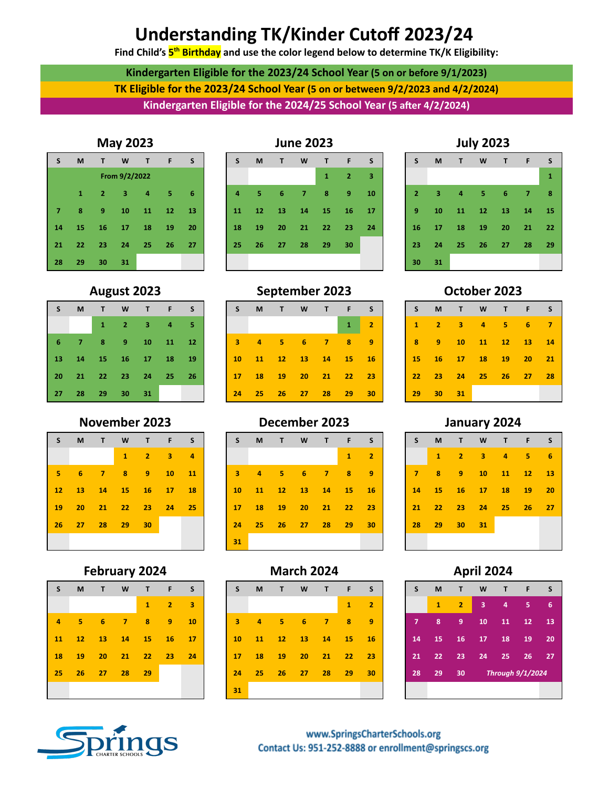# **Understanding TK/Kinder Cutoff 2023/24**

**Find Child's 5 th Birthday and use the color legend below to determine TK/K Eligibility:**

**Kindergarten Eligible for the 2023/24 School Year (5 on or before 9/1/2023) TK Eligible for the 2023/24 School Year (5 on or between 9/2/2023 and 4/2/2024) Kindergarten Eligible for the 2024/25 School Year (5 after 4/2/2024)** 

| S  | M             | T  | W  | T  | F  | S  |  |  |  |  |  |
|----|---------------|----|----|----|----|----|--|--|--|--|--|
|    | From 9/2/2022 |    |    |    |    |    |  |  |  |  |  |
|    | 1             | 2  | 3  | 4  | 5  | 6  |  |  |  |  |  |
|    | 8             | 9  | 10 | 11 | 12 | 13 |  |  |  |  |  |
| 14 | 15            | 16 | 17 | 18 | 19 | 20 |  |  |  |  |  |
| 21 | 22            | 23 | 24 | 25 | 26 | 27 |  |  |  |  |  |
| 28 | 29            | 30 | 31 |    |    |    |  |  |  |  |  |

## **May 2023 June 2023 July 2023**



| S.             | M                          | $\mathbf{T}$ | W                                       | T.     | F                          | <b>S</b>     |
|----------------|----------------------------|--------------|-----------------------------------------|--------|----------------------------|--------------|
|                |                            |              |                                         |        |                            | $\mathbf{1}$ |
| $\overline{2}$ | $\overline{\phantom{a}}$ 3 |              | $\begin{array}{cccc} 4 & 5 \end{array}$ | 6      | $\overline{\phantom{0}}$ 7 | 8            |
| 9              | 10                         |              | $11 \quad 12$                           | $13 -$ | 14                         | 15           |
|                | 16 17 18 19 20 21          |              |                                         |        |                            | 22           |
| $23 -$         | 24                         |              | 25 26 27 28                             |        |                            | 29           |
| 30             | 31                         |              |                                         |        |                            |              |

## **August 2023 September 2023 October 2023**

| S.   |            |       | M T W T F S                         |     |       |  |
|------|------------|-------|-------------------------------------|-----|-------|--|
|      |            |       | $1 \quad 2 \quad 3 \quad 4 \quad 5$ |     |       |  |
|      |            |       | 6 7 8 9 10 11                       |     | / 127 |  |
|      |            |       | 13 14 15 16 17 18                   |     | $-19$ |  |
|      |            |       | 20 21 22 23 24 25                   |     | - 26  |  |
| 27 - | <b>287</b> | $-29$ | - 30                                | -31 |       |  |

| S.    | M     | 4T F            | W              |                 | T F             | S.             |
|-------|-------|-----------------|----------------|-----------------|-----------------|----------------|
|       |       |                 | $\mathbf{1}$   | 2 <sup>1</sup>  | $-13$           | $\overline{a}$ |
| $5 -$ |       | $6 \quad 7$     | $-8$           | 9 <sup>1</sup>  | 10 <sup>°</sup> | -11            |
|       |       | 12 13 14        | 415            | $16$ 17         |                 | $-18$          |
|       | 19 20 | 21              | $\triangle 22$ | $-23$           | 24              | $-25$          |
| 26 -  | 27    | 28 <sup>2</sup> | - 29 -         | 30 <sup>°</sup> |                 |                |
|       |       |                 |                |                 |                 |                |

| S  | M  | т              | W  | т  | F                | S  |
|----|----|----------------|----|----|------------------|----|
|    | 1  | $\overline{2}$ | 3  | 4  | 5                | 6  |
| 7  | 8  | 9              | 10 | 11 | 12               | 13 |
| 14 | 15 | 16             | 17 | 18 | 19               | 20 |
| 21 | 22 | 23             | 24 | 25 | 26               | 27 |
| 28 | 29 | 30             |    |    | Through 9/1/2024 |    |
|    |    |                |    |    |                  |    |

| S.        |            | M <sub>T</sub> | W T F S             |    |       |                 | S.              |                 | M T            |       | W T F           |        | $\sim$ S   | S.              | <b>M</b>           | $\mathbf{T}$            |
|-----------|------------|----------------|---------------------|----|-------|-----------------|-----------------|-----------------|----------------|-------|-----------------|--------|------------|-----------------|--------------------|-------------------------|
|           |            | $\mathbf{1}$   | $2 \quad 3 \quad 4$ |    |       | 5               |                 |                 |                |       |                 |        | $\sqrt{2}$ | $\mathbf{1}$    | $\sim$ 2           | $\overline{\mathbf{3}}$ |
|           | 6 7 8 9 10 |                |                     |    | $-11$ | 12 <sup>°</sup> |                 |                 | 3 4 5 6 7 8    |       |                 |        | - 9        | 8 <sup>1</sup>  | $\blacktriangle$ 9 | <b>10</b>               |
| <b>13</b> |            | 14 15 16 17    |                     |    | 18    | <b>19</b>       | 10 <sup>°</sup> | $\overline{11}$ | $\frac{12}{2}$ | $-13$ | $\frac{14}{14}$ | $-15$  | <b>16</b>  | 15 <sub>1</sub> | 16                 | 17                      |
| 20        |            | 21 22 23 24    |                     |    | 425   | 26              | 17 <sup>2</sup> | $\frac{18}{18}$ | 19             | $-20$ | $-121$          | $-422$ | - 23       |                 | $22 \t 23$         | 24                      |
| 27        | 28         | -29            | 30                  | 31 |       |                 | 24              | 25 <sub>1</sub> | -26            | 27    | 28              | 29     | 30         | 29              | 30 <sup>°</sup>    | 31                      |

| S               | M   | $\mathbf{T}$ | <b>W</b>       | $\mathbf{T}$               | F      | S  |
|-----------------|-----|--------------|----------------|----------------------------|--------|----|
|                 |     |              | 1              | $\overline{\phantom{0}}$ 2 | з      | 4  |
| 5               | - 6 | 7            | 8              | 9                          | $10 -$ | 11 |
| 12 <sub>2</sub> |     |              | 13 14 15 16 17 |                            |        | 18 |
| 19              |     |              | 20 21 22 23    |                            | 24     | 25 |
| 26              |     | 27 28 29     |                | 30                         |        |    |
|                 |     |              |                |                            |        |    |

## **February 2024 March 2024 April 2024**

| S  | M   | $\mathbf{T}$   | <b>W</b>  | $\mathbf{T}$ | F                          | S  |
|----|-----|----------------|-----------|--------------|----------------------------|----|
|    |     |                |           | $\mathbf{1}$ | $\overline{\phantom{0}}$ 2 | 3  |
| 4  | - 5 | - 6            | - 7       | 8            | - 9                        | 10 |
| 11 |     | 12 13 14 15 16 |           |              |                            | 17 |
| 18 | 19  | 20 21 22 23    |           |              |                            | 24 |
| 25 |     | $26$ 27        | $\sim$ 28 | 29           |                            |    |
|    |     |                |           |              |                            |    |



# **November 2023 December 2023 January 2024**

|        |                     |       |                 | - 2 -   | - 31            | - 4       |                 |    |                |           |                |    |                |                         |                 | - 31      |
|--------|---------------------|-------|-----------------|---------|-----------------|-----------|-----------------|----|----------------|-----------|----------------|----|----------------|-------------------------|-----------------|-----------|
| $5 -$  | $6 \quad 7 \quad 8$ |       |                 | $-19$   | 10 <sup>°</sup> | <b>11</b> | 3 <sup>1</sup>  |    | 4 5 6 7        |           | $\blacksquare$ | 9  | $\overline{7}$ | $\overline{\mathbf{8}}$ | 9 <sup>°</sup>  | <b>10</b> |
| $12 -$ | 13                  | 14 15 |                 | $-16$   | $\frac{17}{2}$  | <b>18</b> | 10 <sup>°</sup> |    | 11 12 13 14 15 |           |                | 16 | 14             | $-15$                   | 16              | 17        |
|        | 19 20               | 21    | 22 <sub>2</sub> | $-4$ 23 | 24              | -25       | 17 <sup>2</sup> | 18 | 19 20          | $21$ $22$ |                | 23 | 21             | $\sqrt{22}$             | 23              | 24        |
| 26     | - 27 -              | 28    | 29              | -30     |                 |           | 24              |    | $25$ $26$ $27$ | 28        | $\sqrt{29}$    | 30 | 28             | $-29$                   | 30 <sup>°</sup> | 31        |
|        |                     |       |                 |         |                 |           | 31              |    |                |           |                |    |                |                         |                 |           |

| S.              | M               | T  | W              | $\mathbf{T}$ | F.             | <b>S</b> |
|-----------------|-----------------|----|----------------|--------------|----------------|----------|
|                 |                 |    |                | $\mathbf{1}$ | $\mathbf{2}$   | 3        |
| $\overline{4}$  | 5.              | 6  | $\overline{7}$ | 8            | $\overline{9}$ | 10       |
| 11 <sup>1</sup> | 12              | 13 | 14             | 15           | <b>16</b>      | 17       |
| $18-1$          | 19              | 20 | 21             | 22           | 23             | 24       |
| 25              | 26 <sub>2</sub> | 27 | 28             | 29           |                |          |
|                 |                 |    |                |              |                |          |